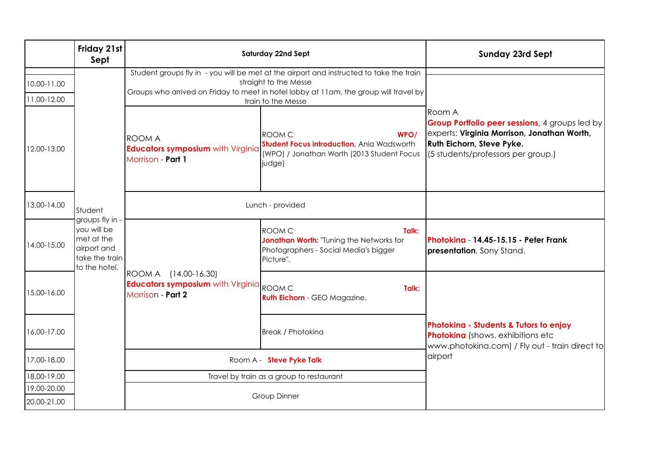|                            | Friday 21st<br>Sept                                                                            | Saturday 22nd Sept                                                                                                                                                                                                              |                                                                                                                                    | <b>Sunday 23rd Sept</b>                                                                                                                                                     |
|----------------------------|------------------------------------------------------------------------------------------------|---------------------------------------------------------------------------------------------------------------------------------------------------------------------------------------------------------------------------------|------------------------------------------------------------------------------------------------------------------------------------|-----------------------------------------------------------------------------------------------------------------------------------------------------------------------------|
| 10.00-11.00<br>11.00-12.00 |                                                                                                | Student groups fly in - you will be met at the airport and instructed to take the train<br>straight to the Messe<br>Groups who arrived on Friday to meet in hotel lobby at 11am, the group will travel by<br>train to the Messe |                                                                                                                                    |                                                                                                                                                                             |
| 12.00-13.00                |                                                                                                | <b>ROOM A</b><br><b>Educators symposium with Virginia</b><br>Morrison - Part 1                                                                                                                                                  | <b>ROOM C</b><br>WPO/<br><b>Student Focus introduction, Ania Wadsworth</b><br>(WPO) / Jonathan Worth (2013 Student Focus<br>judge) | lRoom A<br>Group Portfolio peer sessions, 4 groups led by<br>experts: Virginia Morrison, Jonathan Worth,<br>Ruth Eichorn, Steve Pyke.<br>(5 students/professors per group.) |
| 13.00-14.00                | Student                                                                                        | Lunch - provided                                                                                                                                                                                                                |                                                                                                                                    |                                                                                                                                                                             |
| 14.00-15.00                | groups fly in -<br>you will be<br>met at the<br>airport and<br>take the train<br>to the hotel. | ROOM A (14.00-16.30)<br><b>Educators symposium</b> with Virginia ROOM C<br>Morrison - Part 2                                                                                                                                    | <b>ROOM C</b><br>Talk:<br>Jonathan Worth: "Tuning the Networks for<br>Photographers - Social Media's bigger<br>Picture".           | Photokina - 14.45-15.15 - Peter Frank<br><b>presentation</b> , Sony Stand.                                                                                                  |
| 15.00-16.00                |                                                                                                |                                                                                                                                                                                                                                 | Talk:<br><b>Ruth Eichorn</b> - GEO Magazine.                                                                                       | Photokina - Students & Tutors to enjoy<br>Photokina (shows, exhibitions etc<br>www.photokina.com) / Fly out - train direct to                                               |
| 16.00-17.00                |                                                                                                |                                                                                                                                                                                                                                 | <b>Break / Photokina</b>                                                                                                           |                                                                                                                                                                             |
| 17.00-18.00                |                                                                                                | Room A - Steve Pyke Talk                                                                                                                                                                                                        |                                                                                                                                    | airport                                                                                                                                                                     |
| 18.00-19.00                |                                                                                                | Travel by train as a group to restaurant                                                                                                                                                                                        |                                                                                                                                    |                                                                                                                                                                             |
| 19.00-20.00                |                                                                                                | Group Dinner                                                                                                                                                                                                                    |                                                                                                                                    |                                                                                                                                                                             |
| 20.00-21.00                |                                                                                                |                                                                                                                                                                                                                                 |                                                                                                                                    |                                                                                                                                                                             |